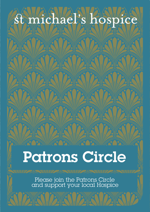## **Standidate Silfos** DIC

DESKER

**PAKKY** 

DENEN DENEL

**MAXK** 

**DENER IDENCE** 

**TAMA** 

**SWAN** 

K

K

# Patrons Circle

Please join the Patrons Circle and support your local Hospice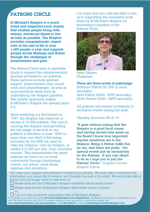#### PATRONS CIRCLE

St Michael's Hospice is a much loved and respected local charity that enables people living with serious, advanced illness to live as fully as possible. The Hospice provides compassionate, expert care at the end of life to over 1,600 people a year and supports people across Hastings and Rother through the challenges of bereavement and grief.

The Patrons Circle aims to generate funds to support the complementary services provided to our patients. These services include spiritual support, bereavement care, social work and physiotherapy, as well as more practical areas such as maintaining the Hospice gardens. This holistic approach makes St Michael's Hospice the special place it is.

Since receiving our first patient in 1987, the Hospice has cared for in excess of 19,000 patients. The cost of running the Hospice and providing the full range of services to our patients is £6million a year. With no more than one third of this being provided by the NHS we need to raise the balance, over £4.3million, or nearly £12,000 per day, from voluntary sources.' This demonstrates the great reliance we have on our local community through fundraising events, our lottery, retail stores, legacies and donations.

I do hope that you will feel able to join us in supporting the wonderful work done by St Michael's Hospice by becoming a member of the Patrons Circle.



Irene Dibben Chairman

There are three levels of patronage: Platinum Patron (£1,000 or more annually) Gold Patron (£500 - £999 annually) Silver Patron (£250 - £499 annually)

All patrons will receive invitations to exclusive events during the year.

#### \*Quality Accounts 2018/19

"It goes without saying that the Hospice is a good local cause and having served nine years on the Board I know how important regular donations are to the Hospice. Being  $\alpha$  Patron fulfils this for me, and there are perks - the special events put on exclusively for the Patrons. If you can afford to do so I urge you to join the Patrons' Circle." Angela Chivers, Hospice Patron

We value your support and promise to respect your privacy. We only want to send you the information you would like to receive, be it through the post or by email. We would also like to know if you no longer want to hear from us.

Please send me the St Michael's Hospice newsletter (three times a year)

Please send me the St Michael's Hospice eNewsletter (once a month) or

I do not wish to receive information from St Michael's Hospice To complete a full opt-in form visit www.stmichaelshospice.com/keepintouch. All personal information is processed in line with the Data Protection Act 2018. For further details on how we use your information please visit www.stmichaelshospice.com/privacynotices, call 01424 456379, or email fundraising@stmichaelshospice.com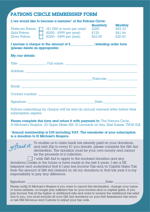| <b>PATRONS CIRCLE MEMBERSHIP FORM</b>                                            |                                                                                                     |                   |                                              |  |
|----------------------------------------------------------------------------------|-----------------------------------------------------------------------------------------------------|-------------------|----------------------------------------------|--|
| $I/w$ e would like to become $\alpha$ member <sup>*</sup> of the Patrons Circle: |                                                                                                     |                   |                                              |  |
| Platinum Patron<br>Gold Patron<br>Silver Patron                                  | $(E1,000$ or more per year)<br>$(E500 - E999$ per year) $E125$<br>$(E250 - E499$ per year) $E62.50$ | Quarterly<br>£250 | <b>Monthly</b><br>£83.33<br>£41.66<br>£20.83 |  |
| (please delete as appropriate)                                                   |                                                                                                     |                   |                                              |  |
| My/our details:                                                                  |                                                                                                     |                   |                                              |  |
|                                                                                  |                                                                                                     |                   |                                              |  |
|                                                                                  |                                                                                                     |                   |                                              |  |
|                                                                                  | <u> 1989 - Jan James James Barnett, filozof eta idazlea (</u>                                       |                   |                                              |  |
|                                                                                  |                                                                                                     |                   |                                              |  |
|                                                                                  |                                                                                                     |                   |                                              |  |
|                                                                                  |                                                                                                     |                   |                                              |  |

Patrons subscribing by cheque will be sent an annual renewal letter before their subscription expires.

Please complete this form and return it with payment to: The Patrons Circle, St Michael's Hospice, 25 Upper Maze Hill, St Leonards on Sea, East Sussex, TN38 0LB

\*Annual membership is £30 including VAT. The remainder of your subscription is a donation to St Michael's Hospice.

í

To enable us to claim back tax already paid on your donations,  $g$ i $f$ t $a$ u $a$   $\nu$   $\,$  and add 25p to every £1 you donate, please complete the Gift Aid declaration. The donation must be your own money and cannot be the proceeds of a collection.

 I wish Gift Aid to apply to the enclosed donation and any donations I make in the future or have made in the last 4 years. I am a UK taxpayer and understand that if I pay less Income Tax and/or Capital Gains Tax than the amount of Gift Aid claimed on all my donations in that tax year it is my responsibility to pay any difference.

Signature: \_\_\_\_\_\_\_\_\_\_\_\_\_\_\_\_\_\_\_\_\_\_\_\_\_\_\_\_\_\_\_\_\_\_\_\_\_\_\_\_\_\_\_\_\_\_\_\_\_Date: \_\_\_\_\_\_\_\_\_\_\_\_\_\_\_

Please notify St Michael's Hospice if you want to cancel this declaration, change your name or home address, no longer pay sufficient tax on your income and/or capital gains. If you pay Income Tax at the higher or additional rate and want to receive the additional tax relief due to you, you must include all your Gift Aid donations on your Self Assessment tax return or ask HM Revenue and Customs to adjust your tax code.